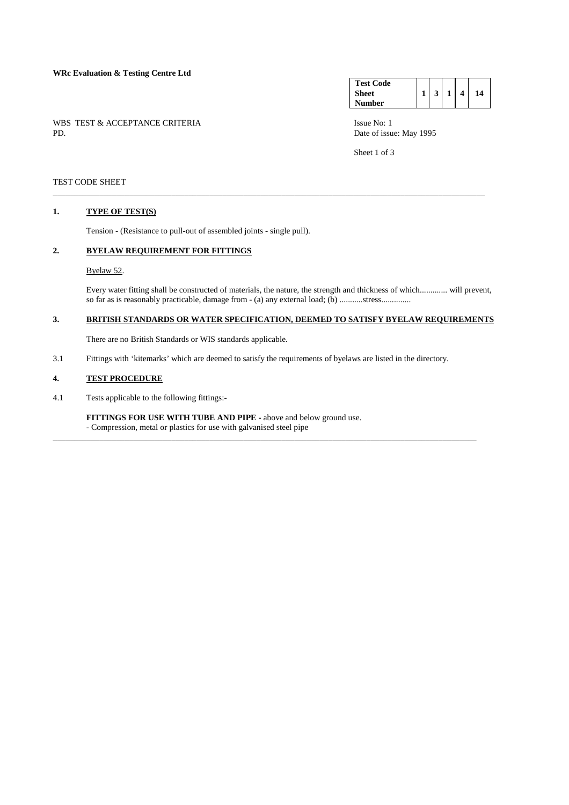# **WRc Evaluation & Testing Centre Ltd**

WBS TEST & ACCEPTANCE CRITERIA ISSUE No: 1<br>PD Date of issue

| <b>Test Code</b> |                |   |    |
|------------------|----------------|---|----|
| <b>Sheet</b>     | $\overline{3}$ | 4 | 14 |
| Number           |                |   |    |

Date of issue: May 1995

Sheet 1 of 3

### TEST CODE SHEET

#### **1. TYPE OF TEST(S)**

Tension - (Resistance to pull-out of assembled joints - single pull).

# **2. BYELAW REQUIREMENT FOR FITTINGS**

#### Byelaw 52.

 Every water fitting shall be constructed of materials, the nature, the strength and thickness of which............. will prevent, so far as is reasonably practicable, damage from - (a) any external load; (b) ..........stress.............

# **3. BRITISH STANDARDS OR WATER SPECIFICATION, DEEMED TO SATISFY BYELAW REQUIREMENTS**

\_\_\_\_\_\_\_\_\_\_\_\_\_\_\_\_\_\_\_\_\_\_\_\_\_\_\_\_\_\_\_\_\_\_\_\_\_\_\_\_\_\_\_\_\_\_\_\_\_\_\_\_\_\_\_\_\_\_\_\_\_\_\_\_\_\_\_\_\_\_\_\_\_\_\_\_\_\_\_\_\_\_\_\_\_\_\_\_\_\_\_\_\_\_\_\_\_\_\_\_\_\_

There are no British Standards or WIS standards applicable.

3.1 Fittings with 'kitemarks' which are deemed to satisfy the requirements of byelaws are listed in the directory.

\_\_\_\_\_\_\_\_\_\_\_\_\_\_\_\_\_\_\_\_\_\_\_\_\_\_\_\_\_\_\_\_\_\_\_\_\_\_\_\_\_\_\_\_\_\_\_\_\_\_\_\_\_\_\_\_\_\_\_\_\_\_\_\_\_\_\_\_\_\_\_\_\_\_\_\_\_\_\_\_\_\_\_\_\_\_\_\_\_\_\_\_\_\_\_\_\_\_\_\_

# **4. TEST PROCEDURE**

4.1 Tests applicable to the following fittings:-

**FITTINGS FOR USE WITH TUBE AND PIPE -** above and below ground use. - Compression, metal or plastics for use with galvanised steel pipe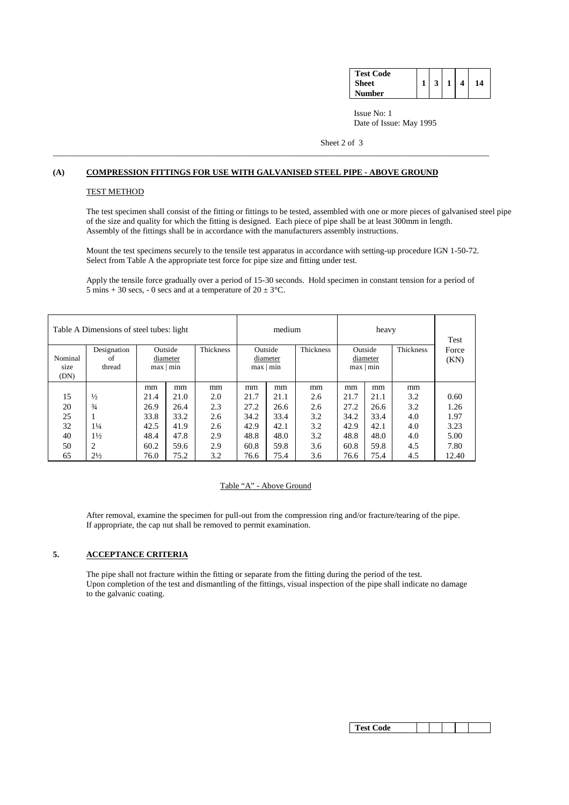| <b>Test Code</b> |  |  |    |
|------------------|--|--|----|
| Sheet            |  |  | 14 |
| Number           |  |  |    |

 Issue No: 1 Date of Issue: May 1995

Sheet 2 of 3

# **(A) COMPRESSION FITTINGS FOR USE WITH GALVANISED STEEL PIPE - ABOVE GROUND**

\_\_\_\_\_\_\_\_\_\_\_\_\_\_\_\_\_\_\_\_\_\_\_\_\_\_\_\_\_\_\_\_\_\_\_\_\_\_\_\_\_\_\_\_\_\_\_\_\_\_\_\_\_\_\_\_\_\_\_\_\_\_\_\_\_\_\_\_\_\_\_\_\_\_\_\_\_\_\_\_\_\_\_\_\_\_\_\_\_\_\_\_\_\_\_\_\_\_\_\_\_\_\_

### TEST METHOD

 The test specimen shall consist of the fitting or fittings to be tested, assembled with one or more pieces of galvanised steel pipe of the size and quality for which the fitting is designed. Each piece of pipe shall be at least 300mm in length. Assembly of the fittings shall be in accordance with the manufacturers assembly instructions.

 Mount the test specimens securely to the tensile test apparatus in accordance with setting-up procedure IGN 1-50-72. Select from Table A the appropriate test force for pipe size and fitting under test.

 Apply the tensile force gradually over a period of 15-30 seconds. Hold specimen in constant tension for a period of 5 mins + 30 secs, - 0 secs and at a temperature of  $20 \pm 3$ °C.

| Table A Dimensions of steel tubes: light |                |      |           |                  | medium    |      |                  | Test      |      |           |       |
|------------------------------------------|----------------|------|-----------|------------------|-----------|------|------------------|-----------|------|-----------|-------|
|                                          | Designation    |      | Outside   | <b>Thickness</b> | Outside   |      | <b>Thickness</b> | Outside   |      | Thickness | Force |
| Nominal                                  | of             |      | diameter  |                  | diameter  |      |                  | diameter  |      |           | (KN)  |
| size                                     | thread         |      | max   min |                  | max   min |      |                  | max   min |      |           |       |
| (DN)                                     |                |      |           |                  |           |      |                  |           |      |           |       |
|                                          |                | mm   | mm        | mm               | mm        | mm   | mm               | mm        | mm   | mm        |       |
| 15                                       | $\frac{1}{2}$  | 21.4 | 21.0      | 2.0              | 21.7      | 21.1 | 2.6              | 21.7      | 21.1 | 3.2       | 0.60  |
| 20                                       | $\frac{3}{4}$  | 26.9 | 26.4      | 2.3              | 27.2      | 26.6 | 2.6              | 27.2      | 26.6 | 3.2       | 1.26  |
| 25                                       |                | 33.8 | 33.2      | 2.6              | 34.2      | 33.4 | 3.2              | 34.2      | 33.4 | 4.0       | 1.97  |
| 32                                       | $1\frac{1}{4}$ | 42.5 | 41.9      | 2.6              | 42.9      | 42.1 | 3.2              | 42.9      | 42.1 | 4.0       | 3.23  |
| 40                                       | $1\frac{1}{2}$ | 48.4 | 47.8      | 2.9              | 48.8      | 48.0 | 3.2              | 48.8      | 48.0 | 4.0       | 5.00  |
| 50                                       | 2              | 60.2 | 59.6      | 2.9              | 60.8      | 59.8 | 3.6              | 60.8      | 59.8 | 4.5       | 7.80  |
| 65                                       | $2\frac{1}{2}$ | 76.0 | 75.2      | 3.2              | 76.6      | 75.4 | 3.6              | 76.6      | 75.4 | 4.5       | 12.40 |

### Table "A" - Above Ground

 After removal, examine the specimen for pull-out from the compression ring and/or fracture/tearing of the pipe. If appropriate, the cap nut shall be removed to permit examination.

### **5. ACCEPTANCE CRITERIA**

 The pipe shall not fracture within the fitting or separate from the fitting during the period of the test. Upon completion of the test and dismantling of the fittings, visual inspection of the pipe shall indicate no damage to the galvanic coating.

|--|